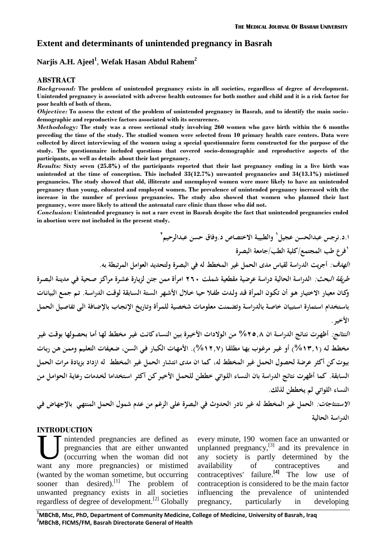# **Extent and determinants of unintended pregnancy in Basrah**

# **Narjis A.H. Ajeel<sup>1</sup>** , **Wefak Hasan Abdul Rahem<sup>2</sup>**

#### **ABSTRACT**

*Background:* **The problem of unintended pregnancy exists in all societies, regardless of degree of development. Unintended pregnancy is associated with adverse health outcomes for both mother and child and it is a risk factor for poor health of both of them.**

*Objective:* **To assess the extent of the problem of unintended pregnancy in Basrah, and to identify the main socio demographic and reproductive factors associated with its occurrence.**

*Methodology:* **The study was a cross sectional study involving 260 women who gave birth within the 6 months preceding the time of the study. The studied women were selected from 10 primary health care centers. Data were collected by direct interviewing of the women using a special questionnaire form constructed for the purpose of the study. The questionnaire included questions that covered socio-demographic and reproductive aspects of the participants, as well as details about their last pregnancy.**

*Results:* **Sixty seven (25.8%) of the participants reported that their last pregnancy ending in a live birth was unintended at the time of conception. This included 33(12.7%) unwanted pregnancies and 34(13.1%) mistimed pregnancies. The study showed that old, illiterate and unemployed women were more likely to have an unintended pregnancy than young, educated and employed women. The prevalence of unintended pregnancy increased with the increase in the number of previous pregnancies. The study also showed that women who planned their last pregnancy, were more likely to attend the antenatal care clinic than those who did not.**

*Conclusion:* **Unintended pregnancy is not a rare event in Basrah despite the fact that unintended pregnancies ended in abortion were not included in the present study.**

ا.د.نرجس عبدالحسن عجيل<sup>י</sup> والطبيبة الاختصاص د.وفاق حسن عبدالرحيم<sup>۲</sup> **١ فرع طب المجتمع/كلية الطب/جامعة البصرة** *الهدف:* **أجريت الدراسة لقياس مدى الحمل غير المخطط له في البصرة ولتحديد العوامل المرتبطة به.**  *طريقة البحث:* **الدراسة الحالية دراسة عرضية مقطعية شملت ٢٦٠ امرأة ممن جئن لزيـارة عشـرة مراكـز صـحية فـي مدينـة البصـرة وكـان معيـار الاختيـار هـو أن تكـون المـرأة قـد ولـدت طفـلا حيـا خـلال الأشـهر السـتة السـابقة لوقـت الدراسـة. تـم جمـع البيانـات باسـتخدام اسـتمارة اسـتبيان خاصـة بالدراسـة وتضـمنت معلومـات شخصـية للمـرأة وتـاريخ الإنجـاب بالإضـافة الـى تفاصـيل الحمـل الأخير.** 

*النتائج:* **أظهـرت نتـائج الدراسـة ان %٢٥,٨ مـن الـولادات الأخيـرة بـين النسـاء كانـت غيـر مخطـط لهـا أمـا بحصـولها بوقـت غيـر مخطـط لـه (%١٣,١) أو غيـر مرغـوب بهـا مطلقـا (%١٢,٧). الأمهـات الكبـار فـي السـن، ضـعيفات التعلـيم وممـن هـن ربـات بيوت كن أكثر عرضة لحصول الحمل غير المخطط له، كما ان مدى انتشار الحمل غير المخطط له ازداد بزيادة مرات الحمل السابقة. كما أظهرت نتائج الدراسة بان النسـاء اللـواتي خططـن للحمـل الأخيـركـن أكثـر اسـتخداما لخـدمات رعايـة الحوامـل مـن النساء اللواتي لم يخططن لذلك.** 

*الاستنتاجات:* **الحمل غير المخطط له غير نادر الحدوث في البصرة على الرغم من عدم شمول الحمل المنتهـي بالإجهـاض فـي الدراسة الحالية**

## **INTRODUCTION**

nintended pregnancies are defined as pregnancies that are either unwanted (occurring when the woman did not The carron extent of the pregnancies are defined as every pregnancies that are either unwanted unplan (occurring when the woman did not any want any more pregnancies) or mistimed availa (wanted by the woman sometime, but occurring sooner than desired).<sup>[1]</sup> The problem of unwanted pregnancy exists in all societies influencing regardless of degree of development.<sup>[2]</sup> Globally pregnancy,

every minute, 190 women face an unwanted or unplanned pregnancy, $^{[3]}$  and its prevalence in any society is partly determined by the availability of contraceptives and contraceptives' failure.**[4]** The low use of contraception is considered to be the main factor the prevalence of unintended particularly in developing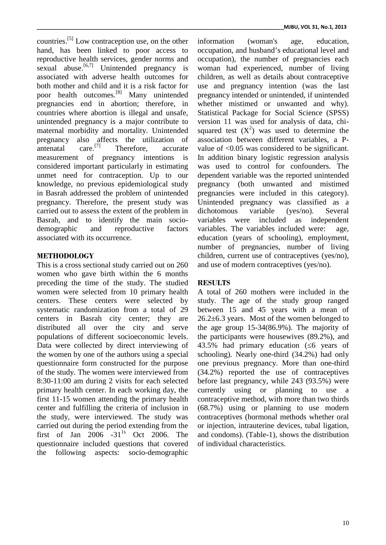countries.<sup>[5]</sup> Low contraception use, on the other info hand, has been linked to poor access to reproductive health services, gender norms and sexual abuse.<sup>[6,7]</sup> Unintended pregnancy is associated with adverse health outcomes for both mother and child and it is a risk factor for poor health outcomes.[8] Many unintended pregnancies end in abortion; therefore, in countries where abortion is illegal and unsafe, unintended pregnancy is a major contribute to maternal morbidity and mortality. Unintended pregnancy also affects the utilization of antenatal  $\text{care.}^{[7]}$  Therefore, accurate antenatal Therefore, accurate measurement of pregnancy intentions is considered important particularly in estimating unmet need for contraception. Up to our knowledge, no previous epidemiological study in Basrah addressed the problem of unintended pregnancy. Therefore, the present study was carried out to assess the extent of the problem in Basrah, and to identify the main socio- variables demographic and reproductive factors associated with its occurrence.

# **METHODOLOGY**

This is a cross sectional study carried out on 260 women who gave birth within the 6 months preceding the time of the study. The studied women were selected from 10 primary health centers. These centers were selected by systematic randomization from a total of 29 centers in Basrah city center; they are distributed all over the city and serve populations of different socioeconomic levels. Data were collected by direct interviewing of the women by one of the authors using a special questionnaire form constructed for the purpose of the study. The women were interviewed from 8:30-11:00 am during 2 visits for each selected primary health center. In each working day, the first 11-15 women attending the primary health center and fulfilling the criteria of inclusion in the study, were interviewed. The study was carried out during the period extending from the first of Jan 2006  $-31^{1s}$  Oct 2006. The questionnaire included questions that covered the following aspects: socio-demographic

information (woman's age, education, occupation, and husband's educational level and occupation), the number of pregnancies each woman had experienced, number of living children, as well as details about contraceptive use and pregnancy intention (was the last pregnancy intended or unintended, if unintended whether mistimed or unwanted and why). Statistical Package for Social Science (SPSS) version 11 was used for analysis of data, chi squared test  $(X^2)$  was used to determine the association between different variables, a P value of <0.05 was considered to be significant. In addition binary logistic regression analysis was used to control for confounders. The dependent variable was the reported unintended pregnancy (both unwanted and mistimed pregnancies were included in this category). Unintended pregnancy was classified as a dichotomous variable (yes/no). Several were included as independent variables. The variables included were: age, education (years of schooling), employment, number of pregnancies, number of living children, current use of contraceptives (yes/no), and use of modern contraceptives (yes/no).

# **RESULTS**

A total of 260 mothers were included in the study. The age of the study group ranged between 15 and 45 years with a mean of 26.2±6.3 years. Most of the women belonged to the age group 15-34(86.9%). The majority of the participants were housewives (89.2%), and 43.5% had primary education (6 years of schooling). Nearly one-third (34.2%) had only one previous pregnancy. More than one-third (34.2%) reported the use of contraceptives before last pregnancy, while 243 (93.5%) were currently using or planning to use a contraceptive method, with more than two thirds (68.7%) using or planning to use modern contraceptives (hormonal methods whether oral or injection, intrauterine devices, tubal ligation, and condoms). (Table-1), shows the distribution of individual characteristics.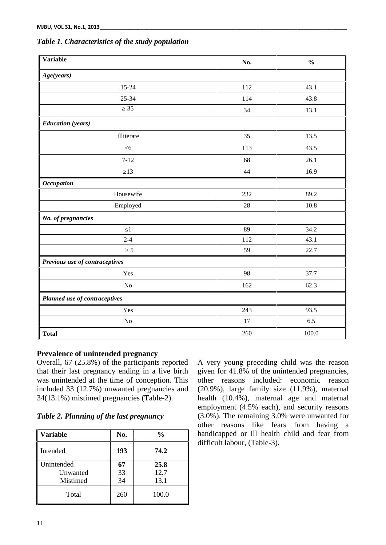|  | Table 1. Characteristics of the study population |  |  |
|--|--------------------------------------------------|--|--|
|--|--------------------------------------------------|--|--|

| Variable                       | No. | $\frac{0}{0}$ |
|--------------------------------|-----|---------------|
| Age(years)                     |     |               |
| $15 - 24$                      | 112 | 43.1          |
| $25 - 34$                      | 114 | 43.8          |
| 35                             | 34  | 13.1          |
| <b>Education</b> (years)       |     |               |
| Illiterate                     | 35  | 13.5          |
| 6                              | 113 | 43.5          |
| $7 - 12$                       | 68  | 26.1          |
| 13                             | 44  | 16.9          |
| <b>Occupation</b>              |     |               |
| Housewife                      | 232 | 89.2          |
| Employed                       | 28  | 10.8          |
| No. of pregnancies             |     |               |
| $\mathbf{1}$                   | 89  | 34.2          |
| $2 - 4$                        | 112 | 43.1          |
| 5                              | 59  | 22.7          |
| Previous use of contraceptives |     |               |
| Yes                            | 98  | 37.7          |
| $\rm No$                       | 162 | 62.3          |
| Planned use of contraceptives  |     |               |
| Yes                            | 243 | 93.5          |
| $\rm No$                       | 17  | 6.5           |
| <b>Total</b>                   | 260 | 100.0         |

## **Prevalence of unintended pregnancy**

Overall, 67 (25.8%) of the participants reported that their last pregnancy ending in a live birth was unintended at the time of conception. This included 33 (12.7%) unwanted pregnancies and 34(13.1%) mistimed pregnancies (Table-2).

## *Table 2. Planning of the last pregnancy*

| <b>Variable</b> | No. | $\frac{0}{0}$ | handio  |
|-----------------|-----|---------------|---------|
| Intended        | 193 | 74.2          | difficu |
| Unintended      | 67  | 25.8          |         |
| Unwanted        | 33  | 12.7          |         |
| Mistimed        | 34  | 13.1          |         |
| Total           | 260 | 100.0         |         |

A very young preceding child was the reason given for 41.8% of the unintended pregnancies, other reasons included: economic reason (20.9%), large family size (11.9%), maternal health (10.4%), maternal age and maternal employment (4.5% each), and security reasons (3.0%). The remaining 3.0% were unwanted for other reasons like fears from having a handicapped or ill health child and fear from difficult labour, (Table-3).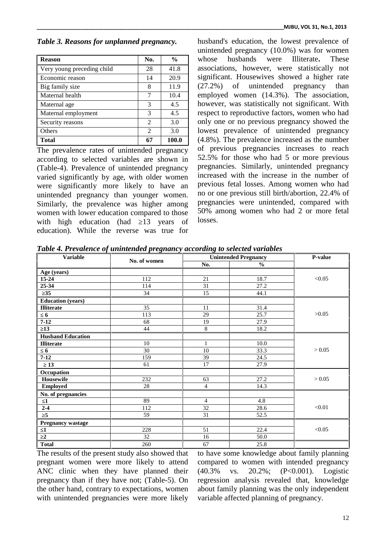## *Table 3. Reasons for unplanned pregnancy.*

| <b>Reason</b>              | No.            | $\frac{0}{0}$ | whose       |
|----------------------------|----------------|---------------|-------------|
| Very young preceding child | 28             | 41.8          | associati   |
| Economic reason            | 14             | 20.9          | significal  |
| Big family size            | 8              | 11.9          | $(27.2\%)$  |
| Maternal health            | 7              | 10.4          | employe     |
| Maternal age               | 3              | 4.5           | however.    |
| Maternal employment        | 3              | 4.5           | respect to  |
| Security reasons           | $\mathfrak{D}$ | 3.0           | only one    |
| Others                     | $\mathfrak{D}$ | 3.0           | lowest 1    |
| Total                      | 67             | 100.0         | $(4.8\%)$ . |

The prevalence rates of unintended pregnancy according to selected variables are shown in (Table-4). Prevalence of unintended pregnancy varied significantly by age, with older women were significantly more likely to have an unintended pregnancy than younger women. Similarly, the prevalence was higher among women with lower education compared to those with high education (had 13 years of education). While the reverse was true for

husband's education, the lowest prevalence of unintended pregnancy (10.0%) was for women whose husbands were Illiterate**.** These associations, however, were statistically not significant. Housewives showed a higher rate (27.2%) of unintended pregnancy than employed women (14.3%). The association, however, was statistically not significant. With respect to reproductive factors, women who had only one or no previous pregnancy showed the lowest prevalence of unintended pregnancy (4.8%). The prevalence increased as the number of previous pregnancies increases to reach 52.5% for those who had 5 or more previous pregnancies. Similarly, unintended pregnancy increased with the increase in the number of previous fetal losses. Among women who had no or one previous still birth/abortion, 22.4% of pregnancies were unintended, compared with 50% among women who had 2 or more fetal losses.

*Table 4. Prevalence of unintended pregnancy according to selected variables*

| <b>Variable</b>          | No. of women    | <b>Unintended Pregnancy</b> |               |        |  | P-value |
|--------------------------|-----------------|-----------------------------|---------------|--------|--|---------|
|                          |                 | No.                         | $\frac{0}{0}$ |        |  |         |
| Age (years)              |                 |                             |               |        |  |         |
| $15 - 24$                | 112             | 21                          | 18.7          | < 0.05 |  |         |
| 25-34                    | 114             | 31                          | 27.2          |        |  |         |
| $\overline{35}$          | 34              | $\overline{15}$             | 44.1          |        |  |         |
| <b>Education</b> (years) |                 |                             |               |        |  |         |
| <b>Illiterate</b>        | $\overline{35}$ | 11                          | 31.4          |        |  |         |
| 6                        | 113             | 29                          | 25.7          | >0.05  |  |         |
| $7 - 12$                 | 68              | 19                          | 27.9          |        |  |         |
| 13                       | 44              | $\,8\,$                     | 18.2          |        |  |         |
| <b>Husband Education</b> |                 |                             |               |        |  |         |
| <b>Illiterate</b>        | 10              | $\mathbf{1}$                | 10.0          |        |  |         |
| 6                        | 30              | $10\,$                      | 33.3          | > 0.05 |  |         |
| $7 - 12$                 | 159             | 39                          | 24.5          |        |  |         |
| 13                       | 61              | 17                          | 27.9          |        |  |         |
| Occupation               |                 |                             |               |        |  |         |
| Housewife                | 232             | 63                          | 27.2          | > 0.05 |  |         |
| <b>Employed</b>          | 28              | $\overline{4}$              | 14.3          |        |  |         |
| No. of pregnancies       |                 |                             |               |        |  |         |
| $\mathbf{1}$             | 89              | $\overline{4}$              | 4.8           |        |  |         |
| $2 - 4$                  | 112             | 32                          | 28.6          | < 0.01 |  |         |
| $\overline{\mathbf{5}}$  | 59              | $\overline{31}$             | 52.5          |        |  |         |
| Pregnancy wastage        |                 |                             |               |        |  |         |
| $\mathbf{1}$             | 228             | 51                          | 22.4          | < 0.05 |  |         |
| $\overline{2}$           | 32              | 16                          | 50.0          |        |  |         |
| <b>Total</b>             | 260             | 67                          | 25.8          |        |  |         |

The results of the present study also showed that pregnant women were more likely to attend ANC clinic when they have planned their  $(40.3\%$ pregnancy than if they have not; (Table-5). On the other hand, contrary to expectations, women with unintended pregnancies were more likely

to have some knowledge about family planning compared to women with intended pregnancy vs. 20.2%; (P<0.001). Logistic regression analysis revealed that, knowledge about family planning was the only independent variable affected planning of pregnancy.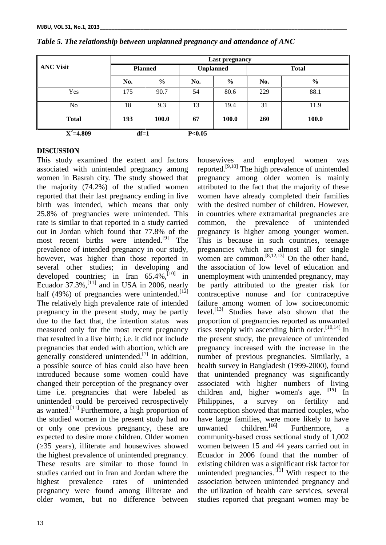|                  | Last pregnancy |       |                  |               |              |               |
|------------------|----------------|-------|------------------|---------------|--------------|---------------|
| <b>ANC Visit</b> | <b>Planned</b> |       | <b>Unplanned</b> |               | <b>Total</b> |               |
|                  | No.            | $\%$  | No.              | $\frac{0}{0}$ | No.          | $\frac{6}{9}$ |
| Yes              | 175            | 90.7  | 54               | 80.6          | 229          | 88.1          |
| No               | 18             | 9.3   | 13               | 19.4          | 31           | 11.9          |
| <b>Total</b>     | 193            | 100.0 | 67               | <b>100.0</b>  | <b>260</b>   | <b>100.0</b>  |
| $X^2 = 4.809$    | $df=1$         |       | P<0.05           |               |              |               |

#### *Table 5. The relationship between unplanned pregnancy and attendance of ANC*

### **DISCUSSION**

This study examined the extent and factors associated with unintended pregnancy among women in Basrah city. The study showed that the majority (74.2%) of the studied women reported that their last pregnancy ending in live birth was intended, which means that only 25.8% of pregnancies were unintended. This rate is similar to that reported in a study carried common, out in Jordan which found that 77.8% of the most recent births were intended.<sup>[9]</sup> The prevalence of intended pregnancy in our study, however, was higher than those reported in several other studies; in developing and developed countries; in Iran  $65.\overline{4}\%$ ,  $^{[10]}$  in Ecuador  $37.3\%$ ,  $^{[11]}$  and in USA in 2006, nearly be pa half (49%) of pregnancies were unintended.<sup>[12]</sup> The relatively high prevalence rate of intended pregnancy in the present study, may be partly due to the fact that, the intention status was measured only for the most recent pregnancy that resulted in a live birth; i.e. it did not include pregnancies that ended with abortion, which are generally considered unintended.<sup>[7]</sup> In addition, a possible source of bias could also have been introduced because some women could have changed their perception of the pregnancy over time i.e. pregnancies that were labeled as unintended could be perceived retrospectively Philippines, as wanted.<sup>[11]</sup> Furthermore, a high proportion of the studied women in the present study had no or only one previous pregnancy, these are expected to desire more children. Older women (≥35 years), illiterate and housewives showed the highest prevalence of unintended pregnancy. These results are similar to those found in studies carried out in Iran and Jordan where the highest prevalence rates of unintended pregnancy were found among illiterate and older women, but no difference between

housewives and employed women was reported.[9,10] The high prevalence of unintended pregnancy among older women is mainly attributed to the fact that the majority of these women have already completed their families with the desired number of children. However, in countries where extramarital pregnancies are the prevalence of unintended pregnancy is higher among younger women. This is because in such countries, teenage pregnancies which are almost all for single women are common.<sup>[8,12,13]</sup> On the other hand, the association of low level of education and unemployment with unintended pregnancy, may be partly attributed to the greater risk for contraceptive nonuse and for contraceptive failure among women of low socioeconomic level.<sup>[13]</sup> Studies have also shown that the proportion of pregnancies reported as unwanted rises steeply with ascending birth order.  $[10,14]$  In the present study, the prevalence of unintended pregnancy increased with the increase in the number of previous pregnancies. Similarly, a health survey in Bangladesh (1999-2000), found that unintended pregnancy was significantly associated with higher numbers of living children and, higher women's age. **[15]** In a survey on fertility and contraception showed that married couples, who have large families, were more likely to have children.<sup>[16]</sup> Furthermore, a community-based cross sectional study of 1,002 women between 15 and 44 years carried out in Ecuador in 2006 found that the number of existing children was a significant risk factor for unintended pregnancies.<sup>[11]</sup> With respect to the association between unintended pregnancy and the utilization of health care services, several studies reported that pregnant women may be